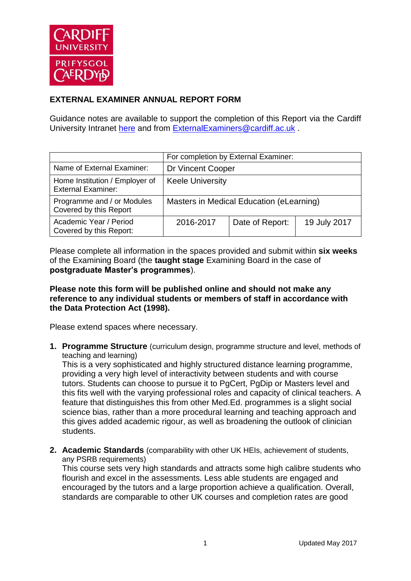

## **EXTERNAL EXAMINER ANNUAL REPORT FORM**

Guidance notes are available to support the completion of this Report via the Cardiff University Intranet [here](https://intranet.cardiff.ac.uk/staff/teaching-and-supporting-students/exams-and-assessment/exam-boards-and-external-examiners/for-current-external-examiners/external-examiners-reports) and from [ExternalExaminers@cardiff.ac.uk](mailto:ExternalExaminers@cardiff.ac.uk) .

|                                                             | For completion by External Examiner:     |                 |              |  |
|-------------------------------------------------------------|------------------------------------------|-----------------|--------------|--|
| Name of External Examiner:                                  | Dr Vincent Cooper                        |                 |              |  |
| Home Institution / Employer of<br><b>External Examiner:</b> | <b>Keele University</b>                  |                 |              |  |
| Programme and / or Modules<br>Covered by this Report        | Masters in Medical Education (eLearning) |                 |              |  |
| Academic Year / Period<br>Covered by this Report:           | 2016-2017                                | Date of Report: | 19 July 2017 |  |

Please complete all information in the spaces provided and submit within **six weeks** of the Examining Board (the **taught stage** Examining Board in the case of **postgraduate Master's programmes**).

## **Please note this form will be published online and should not make any reference to any individual students or members of staff in accordance with the Data Protection Act (1998).**

Please extend spaces where necessary.

**1. Programme Structure** (curriculum design, programme structure and level, methods of teaching and learning)

This is a very sophisticated and highly structured distance learning programme, providing a very high level of interactivity between students and with course tutors. Students can choose to pursue it to PgCert, PgDip or Masters level and this fits well with the varying professional roles and capacity of clinical teachers. A feature that distinguishes this from other Med.Ed. programmes is a slight social science bias, rather than a more procedural learning and teaching approach and this gives added academic rigour, as well as broadening the outlook of clinician students.

**2. Academic Standards** (comparability with other UK HEIs, achievement of students, any PSRB requirements)

This course sets very high standards and attracts some high calibre students who flourish and excel in the assessments. Less able students are engaged and encouraged by the tutors and a large proportion achieve a qualification. Overall, standards are comparable to other UK courses and completion rates are good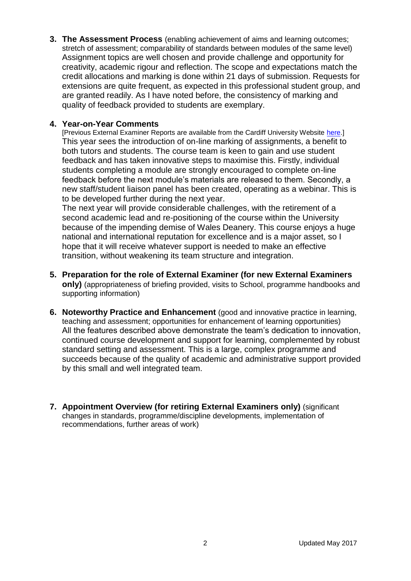**3. The Assessment Process** (enabling achievement of aims and learning outcomes; stretch of assessment; comparability of standards between modules of the same level) Assignment topics are well chosen and provide challenge and opportunity for creativity, academic rigour and reflection. The scope and expectations match the credit allocations and marking is done within 21 days of submission. Requests for extensions are quite frequent, as expected in this professional student group, and are granted readily. As I have noted before, the consistency of marking and quality of feedback provided to students are exemplary.

## **4. Year-on-Year Comments**

[Previous External Examiner Reports are available from the Cardiff University Website [here.](https://www.cardiff.ac.uk/public-information/quality-and-standards/external-examiner-reports)] This year sees the introduction of on-line marking of assignments, a benefit to both tutors and students. The course team is keen to gain and use student feedback and has taken innovative steps to maximise this. Firstly, individual students completing a module are strongly encouraged to complete on-line feedback before the next module's materials are released to them. Secondly, a new staff/student liaison panel has been created, operating as a webinar. This is to be developed further during the next year.

The next year will provide considerable challenges, with the retirement of a second academic lead and re-positioning of the course within the University because of the impending demise of Wales Deanery. This course enjoys a huge national and international reputation for excellence and is a major asset, so I hope that it will receive whatever support is needed to make an effective transition, without weakening its team structure and integration.

- **5. Preparation for the role of External Examiner (for new External Examiners only)** (appropriateness of briefing provided, visits to School, programme handbooks and supporting information)
- **6. Noteworthy Practice and Enhancement** (good and innovative practice in learning, teaching and assessment; opportunities for enhancement of learning opportunities) All the features described above demonstrate the team's dedication to innovation, continued course development and support for learning, complemented by robust standard setting and assessment. This is a large, complex programme and succeeds because of the quality of academic and administrative support provided by this small and well integrated team.
- **7. Appointment Overview (for retiring External Examiners only)** (significant changes in standards, programme/discipline developments, implementation of recommendations, further areas of work)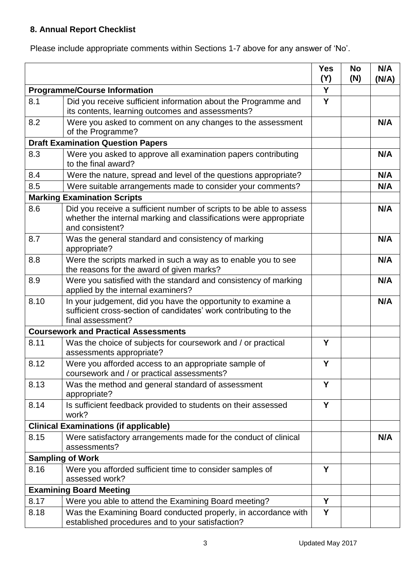## **8. Annual Report Checklist**

Please include appropriate comments within Sections 1-7 above for any answer of 'No'.

|                                              |                                                                                                                                                             | <b>Yes</b><br>(Y) | No<br>(N) | N/A<br>(N/A) |
|----------------------------------------------|-------------------------------------------------------------------------------------------------------------------------------------------------------------|-------------------|-----------|--------------|
| <b>Programme/Course Information</b>          |                                                                                                                                                             | Y                 |           |              |
| 8.1                                          | Did you receive sufficient information about the Programme and<br>its contents, learning outcomes and assessments?                                          | Y                 |           |              |
| 8.2                                          | Were you asked to comment on any changes to the assessment<br>of the Programme?                                                                             |                   |           | N/A          |
| <b>Draft Examination Question Papers</b>     |                                                                                                                                                             |                   |           |              |
| 8.3                                          | Were you asked to approve all examination papers contributing<br>to the final award?                                                                        |                   |           | N/A          |
| 8.4                                          | Were the nature, spread and level of the questions appropriate?                                                                                             |                   |           | N/A          |
| 8.5                                          | Were suitable arrangements made to consider your comments?                                                                                                  |                   |           | N/A          |
|                                              | <b>Marking Examination Scripts</b>                                                                                                                          |                   |           |              |
| 8.6                                          | Did you receive a sufficient number of scripts to be able to assess<br>whether the internal marking and classifications were appropriate<br>and consistent? |                   |           | N/A          |
| 8.7                                          | Was the general standard and consistency of marking<br>appropriate?                                                                                         |                   |           | N/A          |
| 8.8                                          | Were the scripts marked in such a way as to enable you to see<br>the reasons for the award of given marks?                                                  |                   |           | N/A          |
| 8.9                                          | Were you satisfied with the standard and consistency of marking<br>applied by the internal examiners?                                                       |                   |           | N/A          |
| 8.10                                         | In your judgement, did you have the opportunity to examine a<br>sufficient cross-section of candidates' work contributing to the<br>final assessment?       |                   |           | N/A          |
|                                              | <b>Coursework and Practical Assessments</b>                                                                                                                 |                   |           |              |
| 8.11                                         | Was the choice of subjects for coursework and / or practical<br>assessments appropriate?                                                                    | Y                 |           |              |
| 8.12                                         | Were you afforded access to an appropriate sample of<br>coursework and / or practical assessments?                                                          | Y                 |           |              |
| 8.13                                         | Was the method and general standard of assessment<br>appropriate?                                                                                           | Y                 |           |              |
| 8.14                                         | Is sufficient feedback provided to students on their assessed<br>work?                                                                                      | Y                 |           |              |
| <b>Clinical Examinations (if applicable)</b> |                                                                                                                                                             |                   |           |              |
| 8.15                                         | Were satisfactory arrangements made for the conduct of clinical<br>assessments?                                                                             |                   |           | N/A          |
| <b>Sampling of Work</b>                      |                                                                                                                                                             |                   |           |              |
| 8.16                                         | Were you afforded sufficient time to consider samples of<br>assessed work?                                                                                  | Y                 |           |              |
| <b>Examining Board Meeting</b>               |                                                                                                                                                             |                   |           |              |
| 8.17                                         | Were you able to attend the Examining Board meeting?                                                                                                        | Y                 |           |              |
| 8.18                                         | Was the Examining Board conducted properly, in accordance with<br>established procedures and to your satisfaction?                                          | Y                 |           |              |